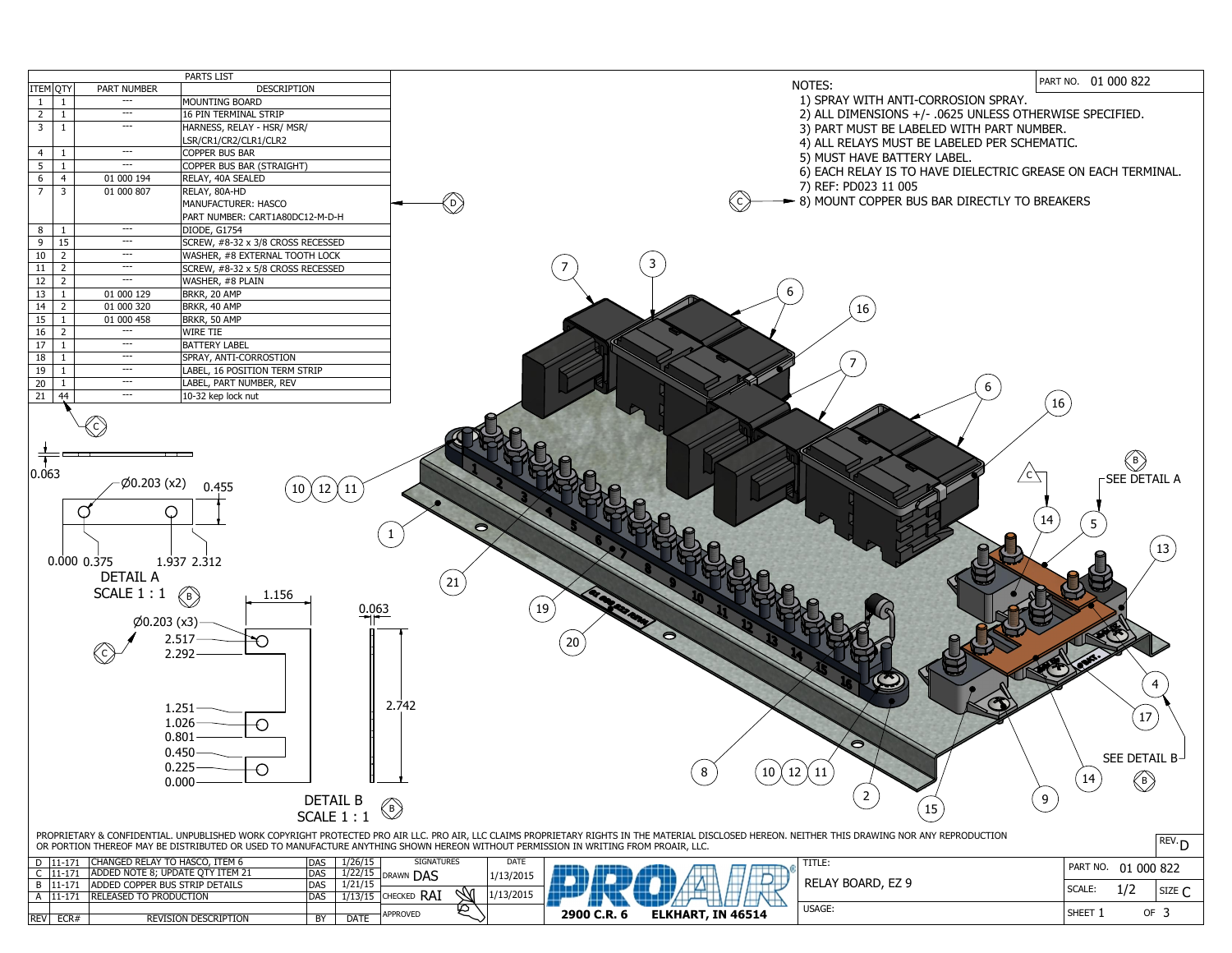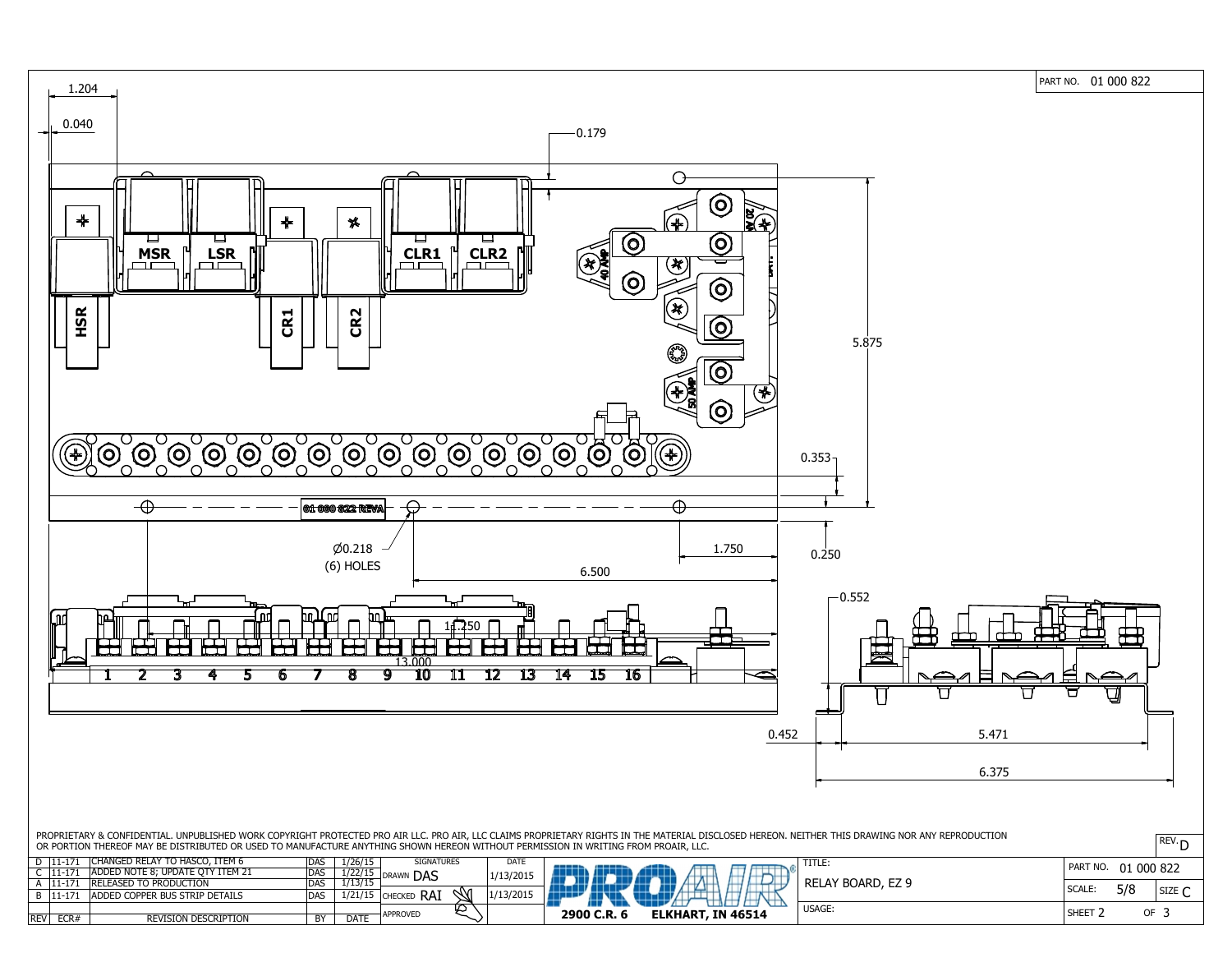PART NO. 01 000 822



| . .        | .<br>$11 -$ | <b>IRELEASED TO PRODUCTION</b>        | - -<br><b>DAS</b> | /13/15                         | <b>JURAWN</b><br><b>LAS</b> | <b>IN 71217</b> |                |             |
|------------|-------------|---------------------------------------|-------------------|--------------------------------|-----------------------------|-----------------|----------------|-------------|
| D          | $11 -$      | <b>ADDED COPPER BUS STRIP DETAILS</b> | <b>DAS</b>        | 12111E<br>$+$ , $ +$ , $+$ $-$ | RAì<br>'Checked             | Ж<br>1/13/2015  |                |             |
| <b>REV</b> | ECR#        | <b>REVISION DESCRIPTION</b>           | <b>BY</b>         | <b>DATE</b>                    | <b>APPROVED</b>             | 亾               | 2900<br>` C.R. | <b>ELKH</b> |
|            |             |                                       |                   |                                |                             |                 |                |             |